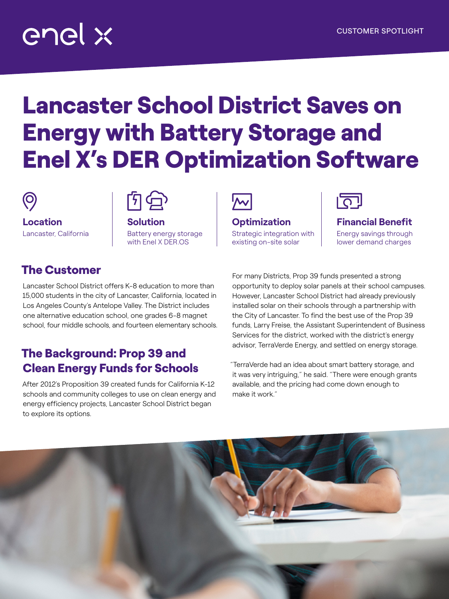

# Lancaster School District Saves on Energy with Battery Storage and Enel X's DER Optimization Software

#### $\boldsymbol{\mathsf{O}}$ **Location** Lancaster, California



**Solution** Battery energy storage with Enel X DER.OS

#### The Customer

Lancaster School District offers K-8 education to more than 15,000 students in the city of Lancaster, California, located in Los Angeles County's Antelope Valley. The District includes one alternative education school, one grades 6-8 magnet school, four middle schools, and fourteen elementary schools.

#### The Background: Prop 39 and Clean Energy Funds for Schools

After 2012's Proposition 39 created funds for California K-12 schools and community colleges to use on clean energy and energy efficiency projects, Lancaster School District began to explore its options.



**Optimization** Strategic integration with existing on-site solar



**Financial Benefit** Energy savings through lower demand charges

For many Districts, Prop 39 funds presented a strong opportunity to deploy solar panels at their school campuses. However, Lancaster School District had already previously installed solar on their schools through a partnership with the City of Lancaster. To find the best use of the Prop 39 funds, Larry Freise, the Assistant Superintendent of Business Services for the district, worked with the district's energy advisor, TerraVerde Energy, and settled on energy storage.

"TerraVerde had an idea about smart battery storage, and it was very intriguing," he said. "There were enough grants available, and the pricing had come down enough to make it work."

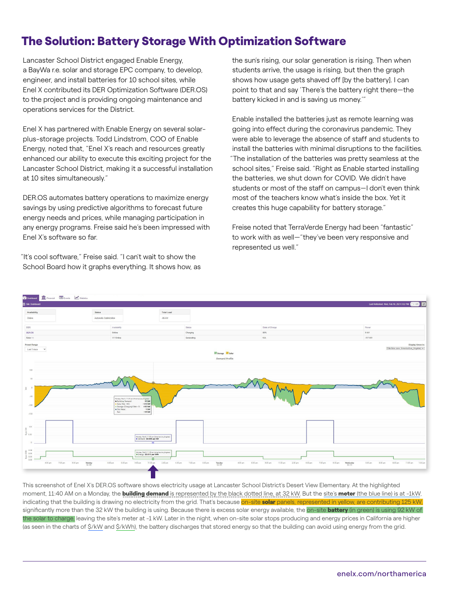## The Solution: Battery Storage With Optimization Software

Lancaster School District engaged Enable Energy, a BayWa r.e. solar and storage EPC company, to develop, engineer, and install batteries for 10 school sites, while Enel X contributed its DER Optimization Software (DER.OS) to the project and is providing ongoing maintenance and operations services for the District.

Enel X has partnered with Enable Energy on several solarplus-storage projects. Todd Lindstrom, COO of Enable Energy, noted that, "Enel X's reach and resources greatly enhanced our ability to execute this exciting project for the Lancaster School District, making it a successful installation at 10 sites simultaneously."

DER.OS automates battery operations to maximize energy savings by using predictive algorithms to forecast future energy needs and prices, while managing participation in any energy programs. Freise said he's been impressed with Enel X's software so far.

"It's cool software," Freise said. "I can't wait to show the School Board how it graphs everything. It shows how, as the sun's rising, our solar generation is rising. Then when students arrive, the usage is rising, but then the graph shows how usage gets shaved off [by the battery]. I can point to that and say 'There's the battery right there—the battery kicked in and is saving us money.'"

Enable installed the batteries just as remote learning was going into effect during the coronavirus pandemic. They were able to leverage the absence of staff and students to install the batteries with minimal disruptions to the facilities. "The installation of the batteries was pretty seamless at the school sites," Freise said. "Right as Enable started installing the batteries, we shut down for COVID. We didn't have students or most of the staff on campus—I don't even think most of the teachers know what's inside the box. Yet it creates this huge capability for battery storage."

Freise noted that TerraVerde Energy had been "fantastic" to work with as well—"they've been very responsive and represented us well."



This screenshot of Enel X's DER.OS software shows electricity usage at Lancaster School District's Desert View Elementary. At the highlighted moment, 11:40 AM on a Monday, the **building demand** is represented by the black dotted line, at 32 kW. But the site's **meter** (the blue line) is at -1kW, indicating that the building is drawing no electricity from the grid. That's because on-site solar panels, represented in yellow, are contributing 125 kW, significantly more than the 32 kW the building is using. Because there is excess solar energy available, the on-site battery (in green) is using 92 kW of the solar to charge, leaving the site's meter at -1 kW. Later in the night, when on-site solar stops producing and energy prices in California are higher (as seen in the charts of \$/kW and \$/kWh), the battery discharges that stored energy so that the building can avoid using energy from the grid.